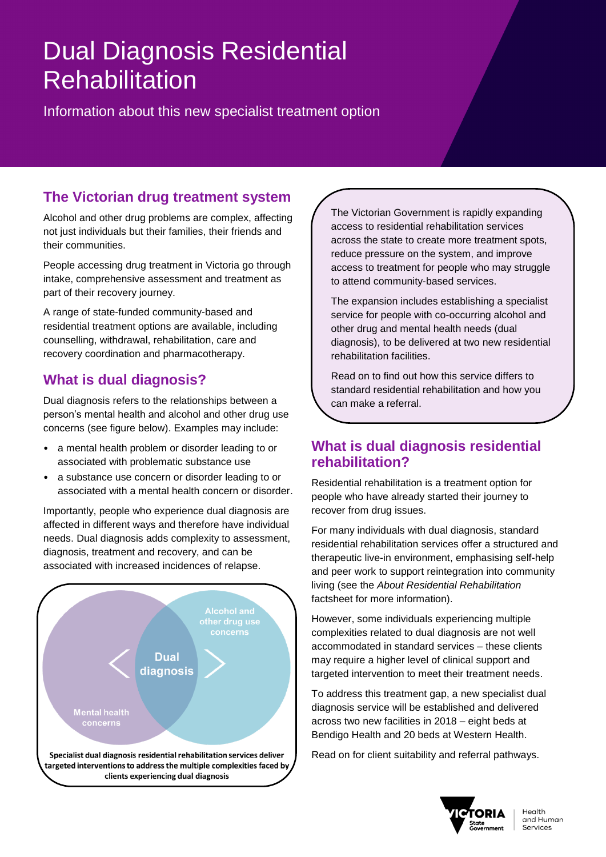# Dual Diagnosis Residential **Rehabilitation**

Information about this new specialist treatment option

# **The Victorian drug treatment system**

Alcohol and other drug problems are complex, affecting not just individuals but their families, their friends and their communities.

People accessing drug treatment in Victoria go through intake, comprehensive assessment and treatment as part of their recovery journey.

A range of state-funded community-based and residential treatment options are available, including counselling, withdrawal, rehabilitation, care and recovery coordination and pharmacotherapy.

# **What is dual diagnosis?**

Dual diagnosis refers to the relationships between a person's mental health and alcohol and other drug use concerns (see figure below). Examples may include:

- a mental health problem or disorder leading to or associated with problematic substance use
- a substance use concern or disorder leading to or associated with a mental health concern or disorder.

Importantly, people who experience dual diagnosis are affected in different ways and therefore have individual needs. Dual diagnosis adds complexity to assessment, diagnosis, treatment and recovery, and can be associated with increased incidences of relapse.



The Victorian Government is rapidly expanding access to residential rehabilitation services across the state to create more treatment spots, reduce pressure on the system, and improve access to treatment for people who may struggle to attend community-based services.

The expansion includes establishing a specialist service for people with co-occurring alcohol and other drug and mental health needs (dual diagnosis), to be delivered at two new residential rehabilitation facilities.

Read on to find out how this service differs to standard residential rehabilitation and how you can make a referral.

## **What is dual diagnosis residential rehabilitation?**

Residential rehabilitation is a treatment option for people who have already started their journey to recover from drug issues.

For many individuals with dual diagnosis, standard residential rehabilitation services offer a structured and therapeutic live-in environment, emphasising self-help and peer work to support reintegration into community living (see the *About Residential Rehabilitation*  factsheet for more information).

However, some individuals experiencing multiple complexities related to dual diagnosis are not well accommodated in standard services – these clients may require a higher level of clinical support and targeted intervention to meet their treatment needs.

To address this treatment gap, a new specialist dual diagnosis service will be established and delivered across two new facilities in 2018 – eight beds at Bendigo Health and 20 beds at Western Health.

Read on for client suitability and referral pathways.

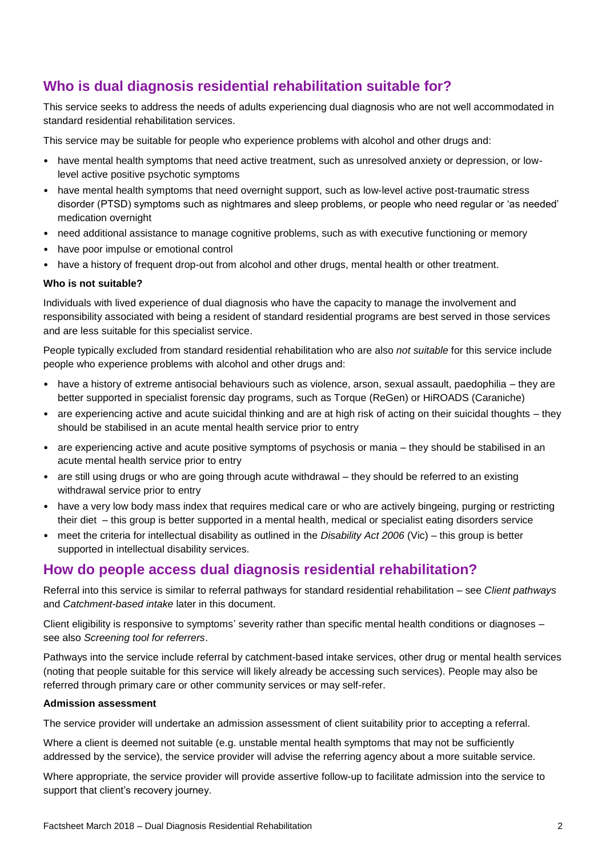# **Who is dual diagnosis residential rehabilitation suitable for?**

This service seeks to address the needs of adults experiencing dual diagnosis who are not well accommodated in standard residential rehabilitation services.

This service may be suitable for people who experience problems with alcohol and other drugs and:

- have mental health symptoms that need active treatment, such as unresolved anxiety or depression, or lowlevel active positive psychotic symptoms
- have mental health symptoms that need overnight support, such as low-level active post-traumatic stress disorder (PTSD) symptoms such as nightmares and sleep problems, or people who need regular or 'as needed' medication overnight
- need additional assistance to manage cognitive problems, such as with executive functioning or memory
- have poor impulse or emotional control
- have a history of frequent drop-out from alcohol and other drugs, mental health or other treatment.

#### **Who is not suitable?**

Individuals with lived experience of dual diagnosis who have the capacity to manage the involvement and responsibility associated with being a resident of standard residential programs are best served in those services and are less suitable for this specialist service.

People typically excluded from standard residential rehabilitation who are also *not suitable* for this service include people who experience problems with alcohol and other drugs and:

- have a history of extreme antisocial behaviours such as violence, arson, sexual assault, paedophilia they are better supported in specialist forensic day programs, such as Torque (ReGen) or HiROADS (Caraniche)
- are experiencing active and acute suicidal thinking and are at high risk of acting on their suicidal thoughts they should be stabilised in an acute mental health service prior to entry
- are experiencing active and acute positive symptoms of psychosis or mania they should be stabilised in an acute mental health service prior to entry
- are still using drugs or who are going through acute withdrawal they should be referred to an existing withdrawal service prior to entry
- have a very low body mass index that requires medical care or who are actively bingeing, purging or restricting their diet – this group is better supported in a mental health, medical or specialist eating disorders service
- meet the criteria for intellectual disability as outlined in the *Disability Act 2006* (Vic) this group is better supported in intellectual disability services.

### **How do people access dual diagnosis residential rehabilitation?**

Referral into this service is similar to referral pathways for standard residential rehabilitation – see *Client pathways* and *Catchment-based intake* later in this document.

Client eligibility is responsive to symptoms' severity rather than specific mental health conditions or diagnoses – see also *Screening tool for referrers*.

Pathways into the service include referral by catchment-based intake services, other drug or mental health services (noting that people suitable for this service will likely already be accessing such services). People may also be referred through primary care or other community services or may self-refer.

#### **Admission assessment**

The service provider will undertake an admission assessment of client suitability prior to accepting a referral.

Where a client is deemed not suitable (e.g. unstable mental health symptoms that may not be sufficiently addressed by the service), the service provider will advise the referring agency about a more suitable service.

Where appropriate, the service provider will provide assertive follow-up to facilitate admission into the service to support that client's recovery journey.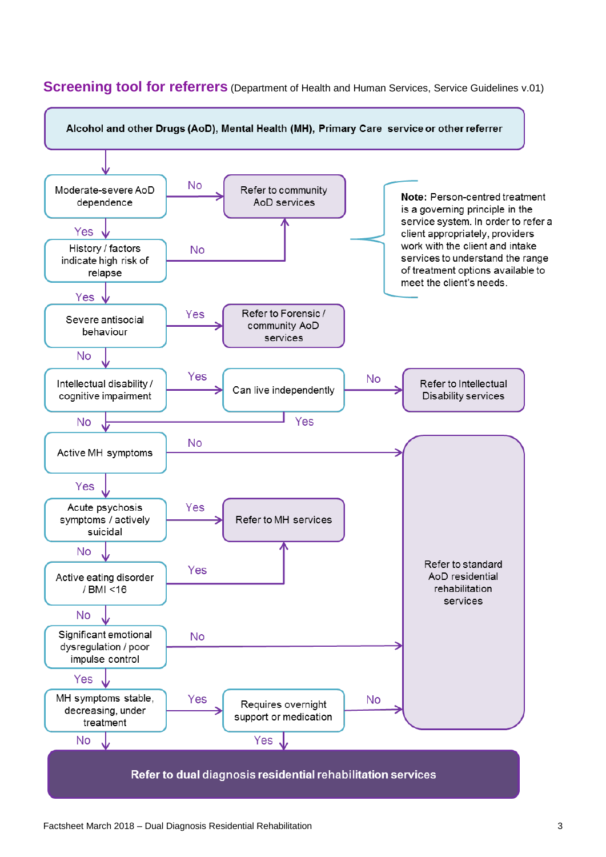

#### **Screening tool for referrers** (Department of Health and Human Services, Service Guidelines v.01)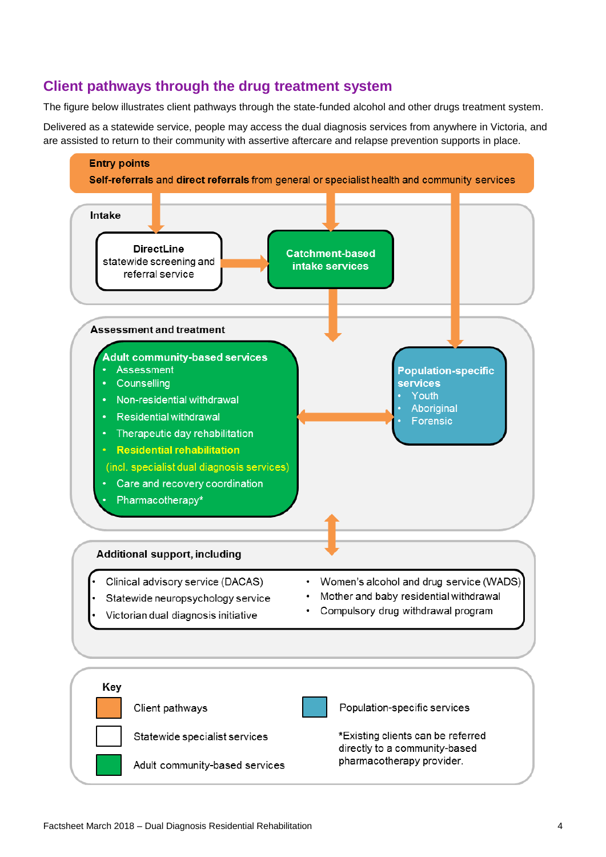### **Client pathways through the drug treatment system**

The figure below illustrates client pathways through the state-funded alcohol and other drugs treatment system.

Delivered as a statewide service, people may access the dual diagnosis services from anywhere in Victoria, and are assisted to return to their community with assertive aftercare and relapse prevention supports in place.

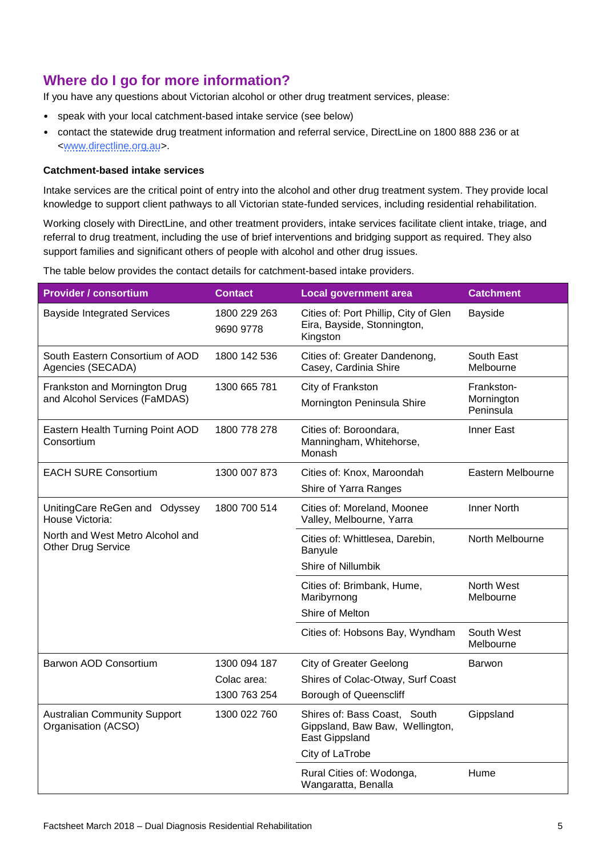# **Where do I go for more information?**

If you have any questions about Victorian alcohol or other drug treatment services, please:

- speak with your local catchment-based intake service (see below)
- contact the statewide drug treatment information and referral service, DirectLine on 1800 888 236 or at [<www.directline.org.au>](file://N060/GROUP/Drug%20Policy%20and%20Services/Strategy%20&%20Policy/Aspex%20review/Communications/Fact%20sheets/Clients/www.directline.org.au).

#### **Catchment-based intake services**

Intake services are the critical point of entry into the alcohol and other drug treatment system. They provide local knowledge to support client pathways to all Victorian state-funded services, including residential rehabilitation.

Working closely with DirectLine, and other treatment providers, intake services facilitate client intake, triage, and referral to drug treatment, including the use of brief interventions and bridging support as required. They also support families and significant others of people with alcohol and other drug issues.

The table below provides the contact details for catchment-based intake providers.

| <b>Provider / consortium</b>                                   | <b>Contact</b>            | <b>Local government area</b>                                                      | <b>Catchment</b>                      |
|----------------------------------------------------------------|---------------------------|-----------------------------------------------------------------------------------|---------------------------------------|
| <b>Bayside Integrated Services</b>                             | 1800 229 263<br>9690 9778 | Cities of: Port Phillip, City of Glen<br>Eira, Bayside, Stonnington,<br>Kingston  | Bayside                               |
| South Eastern Consortium of AOD<br>Agencies (SECADA)           | 1800 142 536              | Cities of: Greater Dandenong,<br>Casey, Cardinia Shire                            | South East<br>Melbourne               |
| Frankston and Mornington Drug<br>and Alcohol Services (FaMDAS) | 1300 665 781              | City of Frankston<br>Mornington Peninsula Shire                                   | Frankston-<br>Mornington<br>Peninsula |
| Eastern Health Turning Point AOD<br>Consortium                 | 1800 778 278              | Cities of: Boroondara,<br>Manningham, Whitehorse,<br>Monash                       | Inner East                            |
| <b>EACH SURE Consortium</b>                                    | 1300 007 873              | Cities of: Knox, Maroondah<br>Shire of Yarra Ranges                               | Eastern Melbourne                     |
| UnitingCare ReGen and Odyssey<br>House Victoria:               | 1800 700 514              | Cities of: Moreland, Moonee<br>Valley, Melbourne, Yarra                           | <b>Inner North</b>                    |
| North and West Metro Alcohol and<br><b>Other Drug Service</b>  |                           | Cities of: Whittlesea, Darebin,<br>Banyule                                        | North Melbourne                       |
|                                                                |                           | Shire of Nillumbik                                                                |                                       |
|                                                                |                           | Cities of: Brimbank, Hume,<br>Maribyrnong                                         | North West<br>Melbourne               |
|                                                                |                           | Shire of Melton                                                                   |                                       |
|                                                                |                           | Cities of: Hobsons Bay, Wyndham                                                   | South West<br>Melbourne               |
| Barwon AOD Consortium                                          | 1300 094 187              | <b>City of Greater Geelong</b>                                                    | <b>Barwon</b>                         |
|                                                                | Colac area:               | Shires of Colac-Otway, Surf Coast                                                 |                                       |
|                                                                | 1300 763 254              | <b>Borough of Queenscliff</b>                                                     |                                       |
| <b>Australian Community Support</b><br>Organisation (ACSO)     | 1300 022 760              | Shires of: Bass Coast, South<br>Gippsland, Baw Baw, Wellington,<br>East Gippsland | Gippsland                             |
|                                                                |                           | City of LaTrobe                                                                   |                                       |
|                                                                |                           | Rural Cities of: Wodonga,<br>Wangaratta, Benalla                                  | Hume                                  |